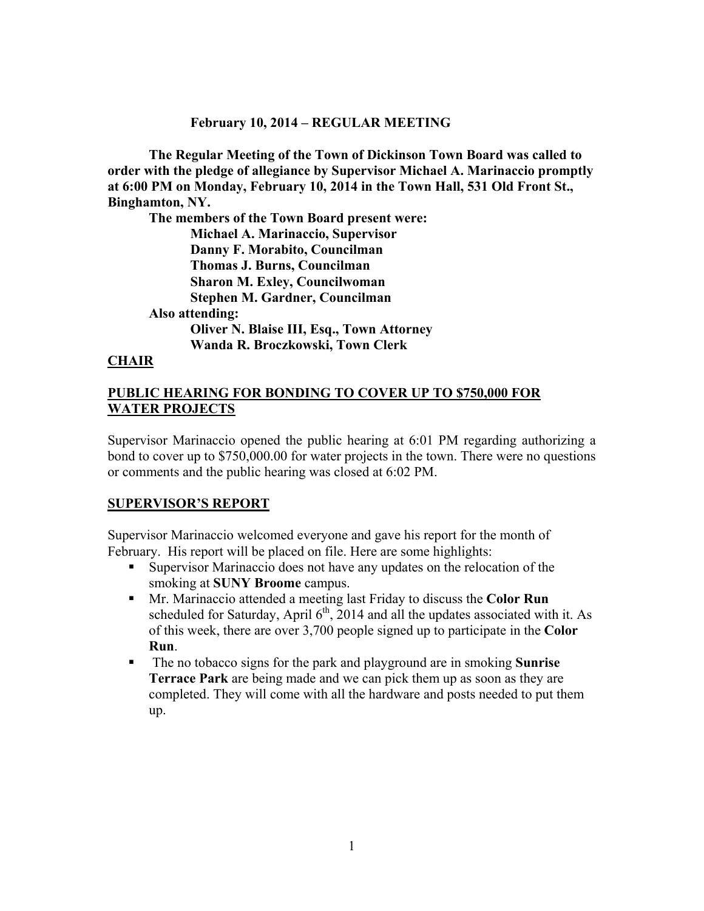## **February 10, 2014 – REGULAR MEETING**

**The Regular Meeting of the Town of Dickinson Town Board was called to order with the pledge of allegiance by Supervisor Michael A. Marinaccio promptly at 6:00 PM on Monday, February 10, 2014 in the Town Hall, 531 Old Front St., Binghamton, NY.** 

**The members of the Town Board present were: Michael A. Marinaccio, Supervisor Danny F. Morabito, Councilman Thomas J. Burns, Councilman Sharon M. Exley, Councilwoman Stephen M. Gardner, Councilman Also attending: Oliver N. Blaise III, Esq., Town Attorney Wanda R. Broczkowski, Town Clerk** 

## **CHAIR**

## **PUBLIC HEARING FOR BONDING TO COVER UP TO \$750,000 FOR WATER PROJECTS**

Supervisor Marinaccio opened the public hearing at 6:01 PM regarding authorizing a bond to cover up to \$750,000.00 for water projects in the town. There were no questions or comments and the public hearing was closed at 6:02 PM.

## **SUPERVISOR'S REPORT**

Supervisor Marinaccio welcomed everyone and gave his report for the month of February. His report will be placed on file. Here are some highlights:

- Supervisor Marinaccio does not have any updates on the relocation of the smoking at **SUNY Broome** campus.
- Mr. Marinaccio attended a meeting last Friday to discuss the **Color Run** scheduled for Saturday, April  $6<sup>th</sup>$ , 2014 and all the updates associated with it. As of this week, there are over 3,700 people signed up to participate in the **Color Run**.
- The no tobacco signs for the park and playground are in smoking **Sunrise Terrace Park** are being made and we can pick them up as soon as they are completed. They will come with all the hardware and posts needed to put them up.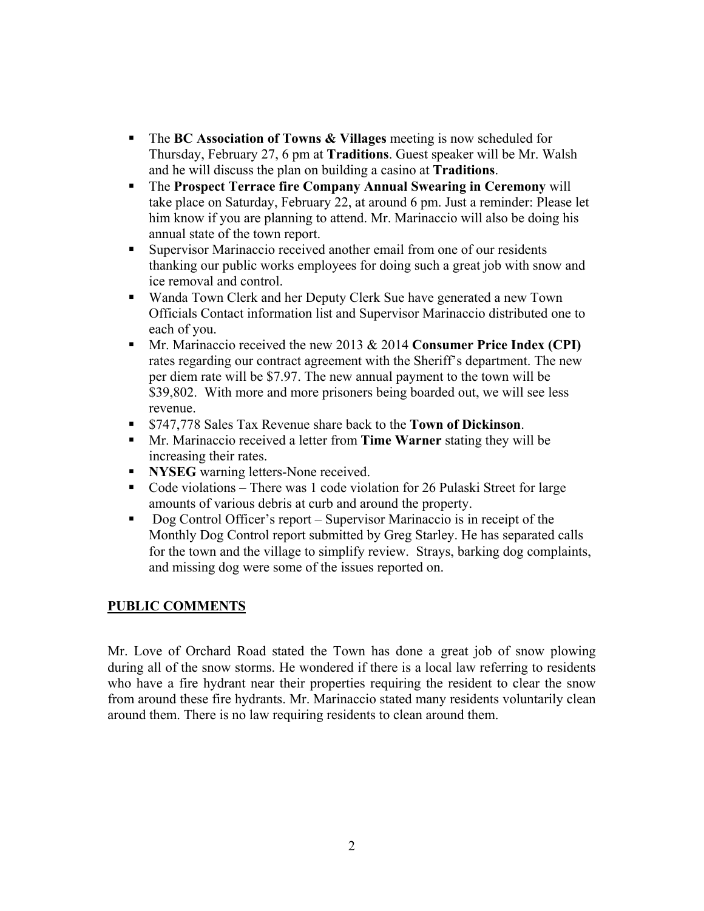- The **BC Association of Towns & Villages** meeting is now scheduled for Thursday, February 27, 6 pm at **Traditions**. Guest speaker will be Mr. Walsh and he will discuss the plan on building a casino at **Traditions**.
- The **Prospect Terrace fire Company Annual Swearing in Ceremony** will take place on Saturday, February 22, at around 6 pm. Just a reminder: Please let him know if you are planning to attend. Mr. Marinaccio will also be doing his annual state of the town report.
- Supervisor Marinaccio received another email from one of our residents thanking our public works employees for doing such a great job with snow and ice removal and control.
- Wanda Town Clerk and her Deputy Clerk Sue have generated a new Town Officials Contact information list and Supervisor Marinaccio distributed one to each of you.
- Mr. Marinaccio received the new 2013 & 2014 **Consumer Price Index (CPI)** rates regarding our contract agreement with the Sheriff's department. The new per diem rate will be \$7.97. The new annual payment to the town will be \$39,802. With more and more prisoners being boarded out, we will see less revenue.
- \$747,778 Sales Tax Revenue share back to the **Town of Dickinson**.
- Mr. Marinaccio received a letter from **Time Warner** stating they will be increasing their rates.
- **NYSEG** warning letters-None received.
- Code violations There was 1 code violation for 26 Pulaski Street for large amounts of various debris at curb and around the property.
- Dog Control Officer's report Supervisor Marinaccio is in receipt of the Monthly Dog Control report submitted by Greg Starley. He has separated calls for the town and the village to simplify review. Strays, barking dog complaints, and missing dog were some of the issues reported on.

# **PUBLIC COMMENTS**

Mr. Love of Orchard Road stated the Town has done a great job of snow plowing during all of the snow storms. He wondered if there is a local law referring to residents who have a fire hydrant near their properties requiring the resident to clear the snow from around these fire hydrants. Mr. Marinaccio stated many residents voluntarily clean around them. There is no law requiring residents to clean around them.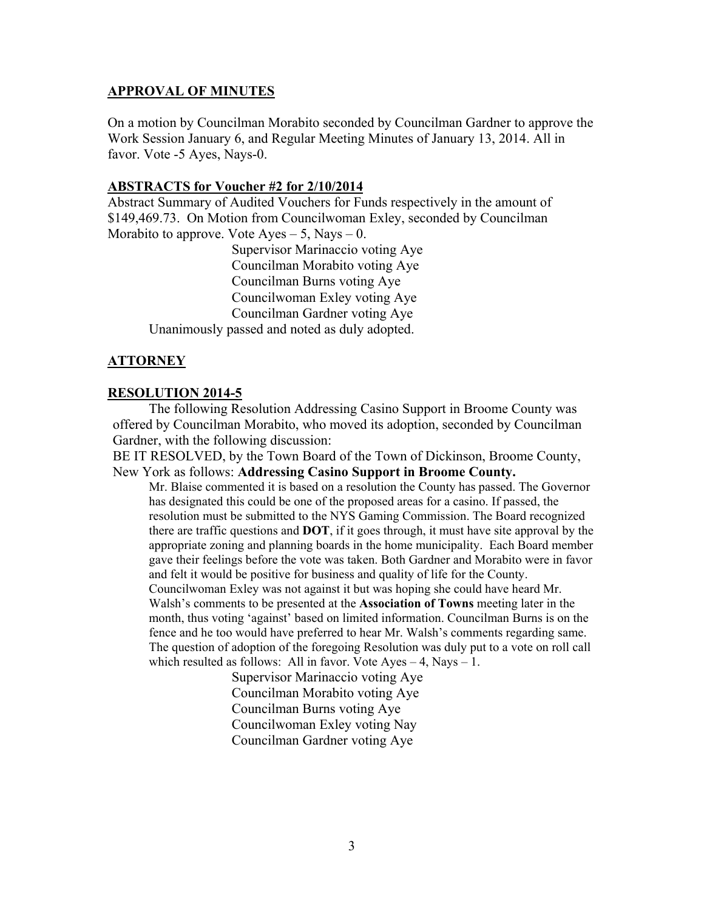### **APPROVAL OF MINUTES**

On a motion by Councilman Morabito seconded by Councilman Gardner to approve the Work Session January 6, and Regular Meeting Minutes of January 13, 2014. All in favor. Vote -5 Ayes, Nays-0.

### **ABSTRACTS for Voucher #2 for 2/10/2014**

Abstract Summary of Audited Vouchers for Funds respectively in the amount of \$149,469.73. On Motion from Councilwoman Exley, seconded by Councilman Morabito to approve. Vote  $Ayes - 5$ , Nays  $- 0$ .

 Supervisor Marinaccio voting Aye Councilman Morabito voting Aye Councilman Burns voting Aye Councilwoman Exley voting Aye Councilman Gardner voting Aye Unanimously passed and noted as duly adopted.

## **ATTORNEY**

### **RESOLUTION 2014-5**

 The following Resolution Addressing Casino Support in Broome County was offered by Councilman Morabito, who moved its adoption, seconded by Councilman Gardner, with the following discussion:

BE IT RESOLVED, by the Town Board of the Town of Dickinson, Broome County, New York as follows: **Addressing Casino Support in Broome County.** 

Mr. Blaise commented it is based on a resolution the County has passed. The Governor has designated this could be one of the proposed areas for a casino. If passed, the resolution must be submitted to the NYS Gaming Commission. The Board recognized there are traffic questions and **DOT**, if it goes through, it must have site approval by the appropriate zoning and planning boards in the home municipality. Each Board member gave their feelings before the vote was taken. Both Gardner and Morabito were in favor and felt it would be positive for business and quality of life for the County. Councilwoman Exley was not against it but was hoping she could have heard Mr. Walsh's comments to be presented at the **Association of Towns** meeting later in the

month, thus voting 'against' based on limited information. Councilman Burns is on the fence and he too would have preferred to hear Mr. Walsh's comments regarding same. The question of adoption of the foregoing Resolution was duly put to a vote on roll call which resulted as follows: All in favor. Vote  $Ayes - 4$ , Nays  $- 1$ .

> Supervisor Marinaccio voting Aye Councilman Morabito voting Aye Councilman Burns voting Aye Councilwoman Exley voting Nay Councilman Gardner voting Aye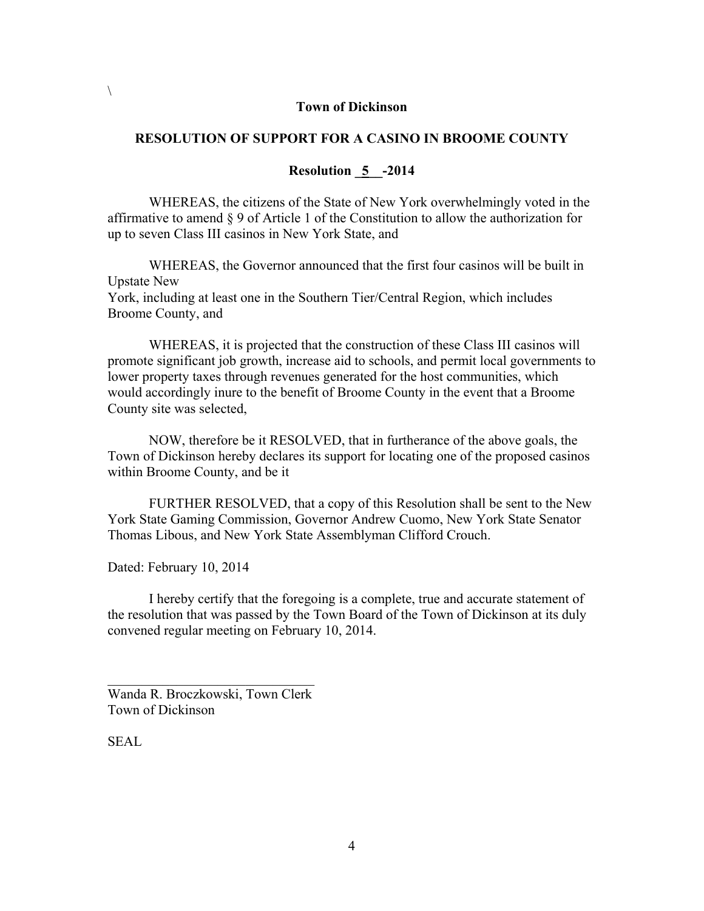#### **Town of Dickinson**

### **RESOLUTION OF SUPPORT FOR A CASINO IN BROOME COUNTY**

### **Resolution \_5\_\_-2014**

WHEREAS, the citizens of the State of New York overwhelmingly voted in the affirmative to amend § 9 of Article 1 of the Constitution to allow the authorization for up to seven Class III casinos in New York State, and

WHEREAS, the Governor announced that the first four casinos will be built in Upstate New York, including at least one in the Southern Tier/Central Region, which includes Broome County, and

WHEREAS, it is projected that the construction of these Class III casinos will promote significant job growth, increase aid to schools, and permit local governments to lower property taxes through revenues generated for the host communities, which would accordingly inure to the benefit of Broome County in the event that a Broome County site was selected,

NOW, therefore be it RESOLVED, that in furtherance of the above goals, the Town of Dickinson hereby declares its support for locating one of the proposed casinos within Broome County, and be it

FURTHER RESOLVED, that a copy of this Resolution shall be sent to the New York State Gaming Commission, Governor Andrew Cuomo, New York State Senator Thomas Libous, and New York State Assemblyman Clifford Crouch.

Dated: February 10, 2014

I hereby certify that the foregoing is a complete, true and accurate statement of the resolution that was passed by the Town Board of the Town of Dickinson at its duly convened regular meeting on February 10, 2014.

Wanda R. Broczkowski, Town Clerk Town of Dickinson

 $\mathcal{L}_\text{max}$  , and the set of the set of the set of the set of the set of the set of the set of the set of the set of the set of the set of the set of the set of the set of the set of the set of the set of the set of the

SEAL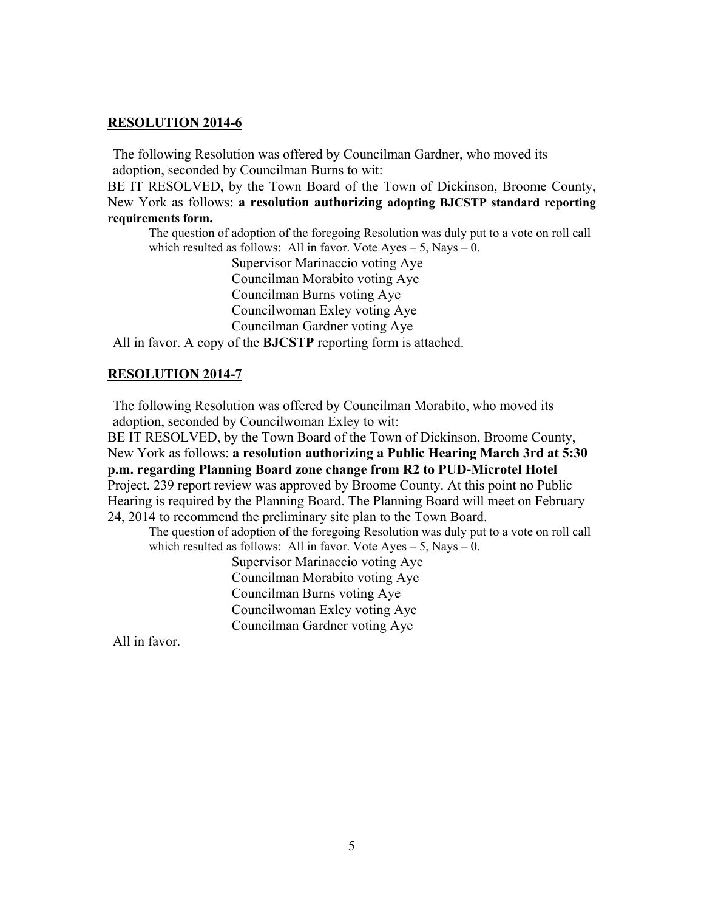## **RESOLUTION 2014-6**

The following Resolution was offered by Councilman Gardner, who moved its adoption, seconded by Councilman Burns to wit:

BE IT RESOLVED, by the Town Board of the Town of Dickinson, Broome County, New York as follows: **a resolution authorizing adopting BJCSTP standard reporting requirements form.** 

The question of adoption of the foregoing Resolution was duly put to a vote on roll call which resulted as follows: All in favor. Vote Ayes  $-5$ , Nays  $-0$ .

 Supervisor Marinaccio voting Aye Councilman Morabito voting Aye Councilman Burns voting Aye Councilwoman Exley voting Aye Councilman Gardner voting Aye

All in favor. A copy of the **BJCSTP** reporting form is attached.

## **RESOLUTION 2014-7**

The following Resolution was offered by Councilman Morabito, who moved its adoption, seconded by Councilwoman Exley to wit:

BE IT RESOLVED, by the Town Board of the Town of Dickinson, Broome County, New York as follows: **a resolution authorizing a Public Hearing March 3rd at 5:30 p.m. regarding Planning Board zone change from R2 to PUD-Microtel Hotel**  Project. 239 report review was approved by Broome County. At this point no Public Hearing is required by the Planning Board. The Planning Board will meet on February 24, 2014 to recommend the preliminary site plan to the Town Board.

The question of adoption of the foregoing Resolution was duly put to a vote on roll call which resulted as follows: All in favor. Vote  $Ayes - 5$ , Nays – 0.

> Supervisor Marinaccio voting Aye Councilman Morabito voting Aye Councilman Burns voting Aye Councilwoman Exley voting Aye Councilman Gardner voting Aye

All in favor.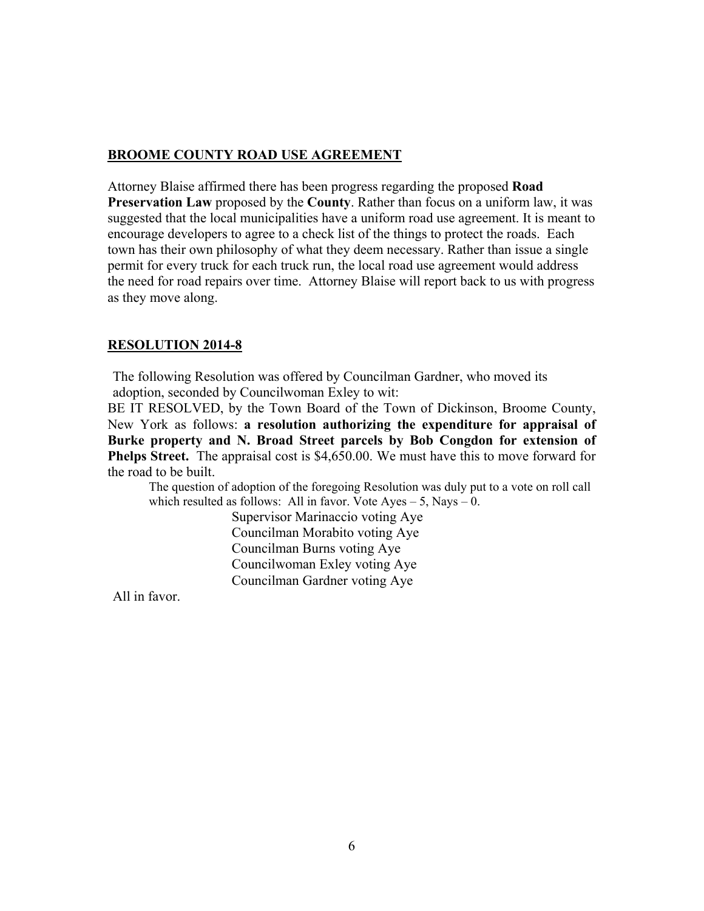## **BROOME COUNTY ROAD USE AGREEMENT**

Attorney Blaise affirmed there has been progress regarding the proposed **Road Preservation Law** proposed by the **County**. Rather than focus on a uniform law, it was suggested that the local municipalities have a uniform road use agreement. It is meant to encourage developers to agree to a check list of the things to protect the roads. Each town has their own philosophy of what they deem necessary. Rather than issue a single permit for every truck for each truck run, the local road use agreement would address the need for road repairs over time. Attorney Blaise will report back to us with progress as they move along.

# **RESOLUTION 2014-8**

The following Resolution was offered by Councilman Gardner, who moved its adoption, seconded by Councilwoman Exley to wit:

BE IT RESOLVED, by the Town Board of the Town of Dickinson, Broome County, New York as follows: **a resolution authorizing the expenditure for appraisal of Burke property and N. Broad Street parcels by Bob Congdon for extension of Phelps Street.** The appraisal cost is \$4,650.00. We must have this to move forward for the road to be built.

The question of adoption of the foregoing Resolution was duly put to a vote on roll call which resulted as follows: All in favor. Vote  $Aves - 5$ , Nays  $- 0$ .

> Supervisor Marinaccio voting Aye Councilman Morabito voting Aye Councilman Burns voting Aye Councilwoman Exley voting Aye Councilman Gardner voting Aye

All in favor.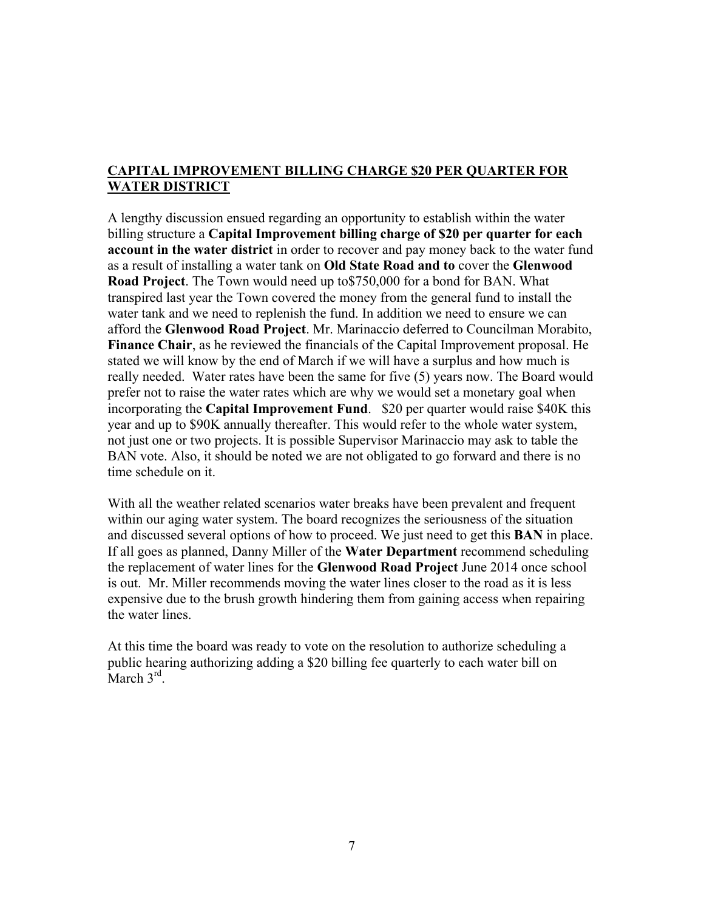# **CAPITAL IMPROVEMENT BILLING CHARGE \$20 PER QUARTER FOR WATER DISTRICT**

A lengthy discussion ensued regarding an opportunity to establish within the water billing structure a **Capital Improvement billing charge of \$20 per quarter for each account in the water district** in order to recover and pay money back to the water fund as a result of installing a water tank on **Old State Road and to** cover the **Glenwood Road Project**. The Town would need up to\$750,000 for a bond for BAN. What transpired last year the Town covered the money from the general fund to install the water tank and we need to replenish the fund. In addition we need to ensure we can afford the **Glenwood Road Project**. Mr. Marinaccio deferred to Councilman Morabito, **Finance Chair**, as he reviewed the financials of the Capital Improvement proposal. He stated we will know by the end of March if we will have a surplus and how much is really needed. Water rates have been the same for five (5) years now. The Board would prefer not to raise the water rates which are why we would set a monetary goal when incorporating the **Capital Improvement Fund**. \$20 per quarter would raise \$40K this year and up to \$90K annually thereafter. This would refer to the whole water system, not just one or two projects. It is possible Supervisor Marinaccio may ask to table the BAN vote. Also, it should be noted we are not obligated to go forward and there is no time schedule on it.

With all the weather related scenarios water breaks have been prevalent and frequent within our aging water system. The board recognizes the seriousness of the situation and discussed several options of how to proceed. We just need to get this **BAN** in place. If all goes as planned, Danny Miller of the **Water Department** recommend scheduling the replacement of water lines for the **Glenwood Road Project** June 2014 once school is out. Mr. Miller recommends moving the water lines closer to the road as it is less expensive due to the brush growth hindering them from gaining access when repairing the water lines.

At this time the board was ready to vote on the resolution to authorize scheduling a public hearing authorizing adding a \$20 billing fee quarterly to each water bill on March  $3^{\text{rd}}$ .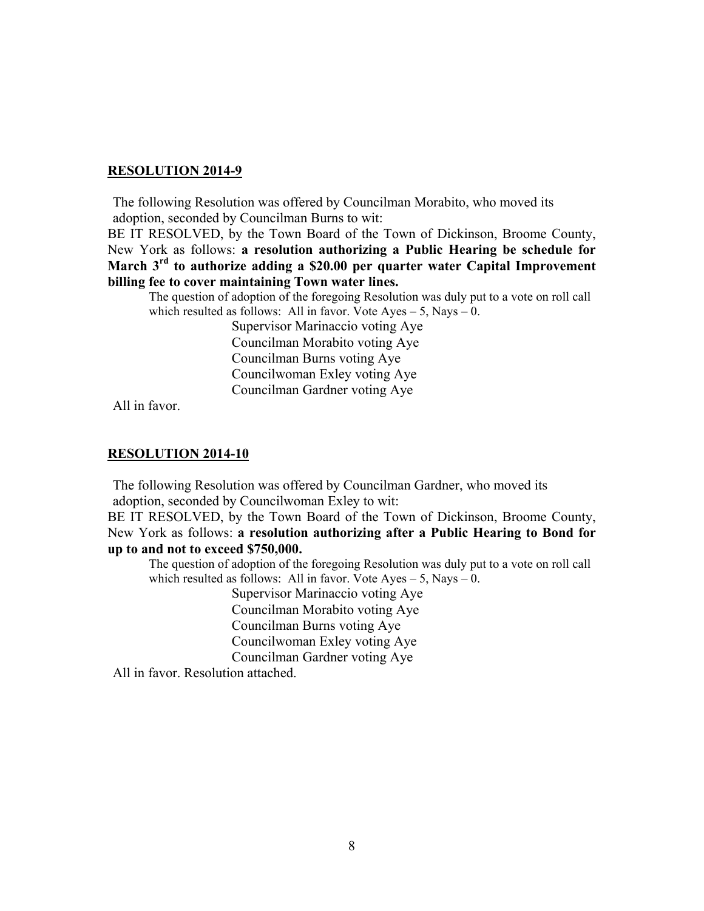### **RESOLUTION 2014-9**

The following Resolution was offered by Councilman Morabito, who moved its adoption, seconded by Councilman Burns to wit:

BE IT RESOLVED, by the Town Board of the Town of Dickinson, Broome County, New York as follows: **a resolution authorizing a Public Hearing be schedule for March 3rd to authorize adding a \$20.00 per quarter water Capital Improvement billing fee to cover maintaining Town water lines.** 

The question of adoption of the foregoing Resolution was duly put to a vote on roll call which resulted as follows: All in favor. Vote  $Ayes - 5$ , Nays  $- 0$ .

> Supervisor Marinaccio voting Aye Councilman Morabito voting Aye Councilman Burns voting Aye Councilwoman Exley voting Aye Councilman Gardner voting Aye

All in favor.

#### **RESOLUTION 2014-10**

The following Resolution was offered by Councilman Gardner, who moved its adoption, seconded by Councilwoman Exley to wit:

BE IT RESOLVED, by the Town Board of the Town of Dickinson, Broome County, New York as follows: **a resolution authorizing after a Public Hearing to Bond for up to and not to exceed \$750,000.**

The question of adoption of the foregoing Resolution was duly put to a vote on roll call which resulted as follows: All in favor. Vote  $Aves - 5$ , Navs  $- 0$ .

> Supervisor Marinaccio voting Aye Councilman Morabito voting Aye Councilman Burns voting Aye Councilwoman Exley voting Aye Councilman Gardner voting Aye

All in favor. Resolution attached.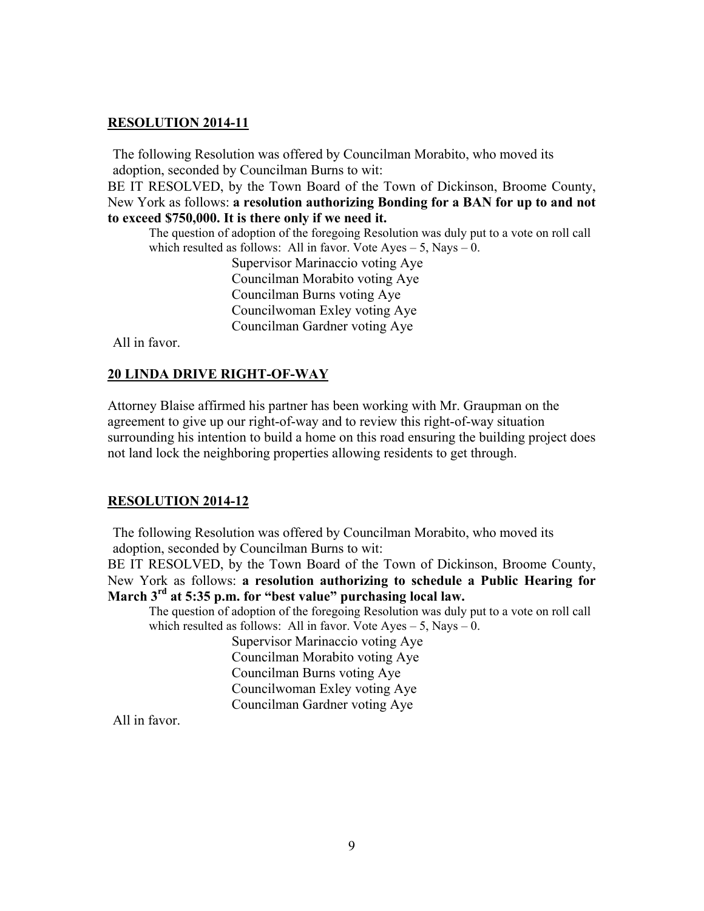### **RESOLUTION 2014-11**

The following Resolution was offered by Councilman Morabito, who moved its adoption, seconded by Councilman Burns to wit:

BE IT RESOLVED, by the Town Board of the Town of Dickinson, Broome County, New York as follows: **a resolution authorizing Bonding for a BAN for up to and not to exceed \$750,000. It is there only if we need it.**

The question of adoption of the foregoing Resolution was duly put to a vote on roll call which resulted as follows: All in favor. Vote  $Ayes - 5$ , Nays  $- 0$ .

> Supervisor Marinaccio voting Aye Councilman Morabito voting Aye Councilman Burns voting Aye Councilwoman Exley voting Aye Councilman Gardner voting Aye

All in favor.

#### **20 LINDA DRIVE RIGHT-OF-WAY**

Attorney Blaise affirmed his partner has been working with Mr. Graupman on the agreement to give up our right-of-way and to review this right-of-way situation surrounding his intention to build a home on this road ensuring the building project does not land lock the neighboring properties allowing residents to get through.

#### **RESOLUTION 2014-12**

The following Resolution was offered by Councilman Morabito, who moved its adoption, seconded by Councilman Burns to wit:

BE IT RESOLVED, by the Town Board of the Town of Dickinson, Broome County, New York as follows: **a resolution authorizing to schedule a Public Hearing for March 3rd at 5:35 p.m. for "best value" purchasing local law.** 

The question of adoption of the foregoing Resolution was duly put to a vote on roll call which resulted as follows: All in favor. Vote  $Ayes - 5$ , Nays  $- 0$ .

> Supervisor Marinaccio voting Aye Councilman Morabito voting Aye Councilman Burns voting Aye Councilwoman Exley voting Aye Councilman Gardner voting Aye

All in favor.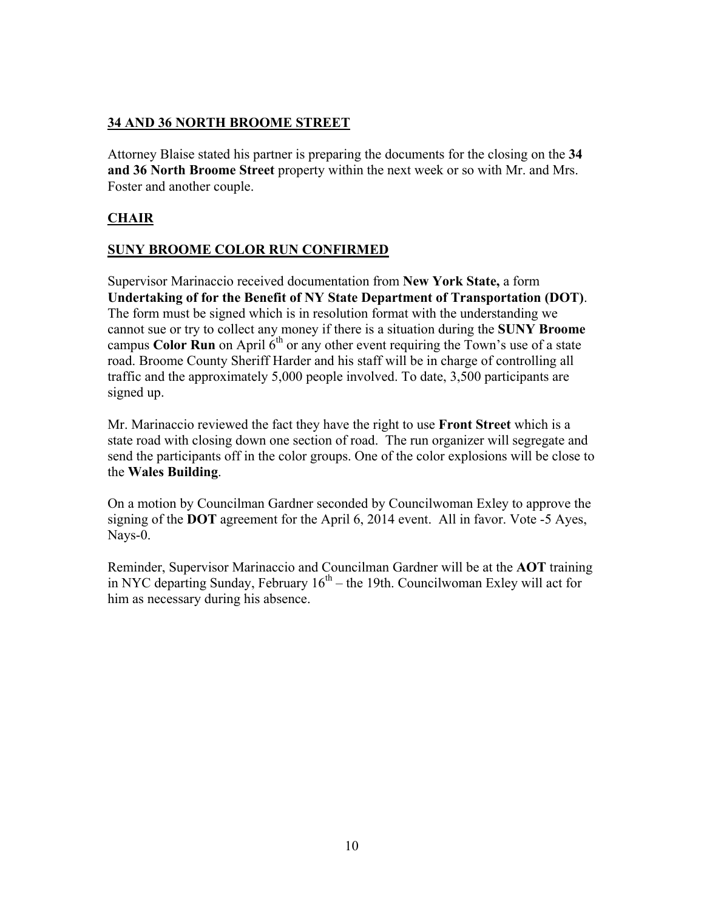# **34 AND 36 NORTH BROOME STREET**

Attorney Blaise stated his partner is preparing the documents for the closing on the **34 and 36 North Broome Street** property within the next week or so with Mr. and Mrs. Foster and another couple.

# **CHAIR**

# **SUNY BROOME COLOR RUN CONFIRMED**

Supervisor Marinaccio received documentation from **New York State,** a form **Undertaking of for the Benefit of NY State Department of Transportation (DOT)**. The form must be signed which is in resolution format with the understanding we cannot sue or try to collect any money if there is a situation during the **SUNY Broome** campus **Color Run** on April  $6<sup>th</sup>$  or any other event requiring the Town's use of a state road. Broome County Sheriff Harder and his staff will be in charge of controlling all traffic and the approximately 5,000 people involved. To date, 3,500 participants are signed up.

Mr. Marinaccio reviewed the fact they have the right to use **Front Street** which is a state road with closing down one section of road. The run organizer will segregate and send the participants off in the color groups. One of the color explosions will be close to the **Wales Building**.

On a motion by Councilman Gardner seconded by Councilwoman Exley to approve the signing of the **DOT** agreement for the April 6, 2014 event. All in favor. Vote -5 Ayes, Nays-0.

Reminder, Supervisor Marinaccio and Councilman Gardner will be at the **AOT** training in NYC departing Sunday, February  $16<sup>th</sup>$  – the 19th. Councilwoman Exley will act for him as necessary during his absence.